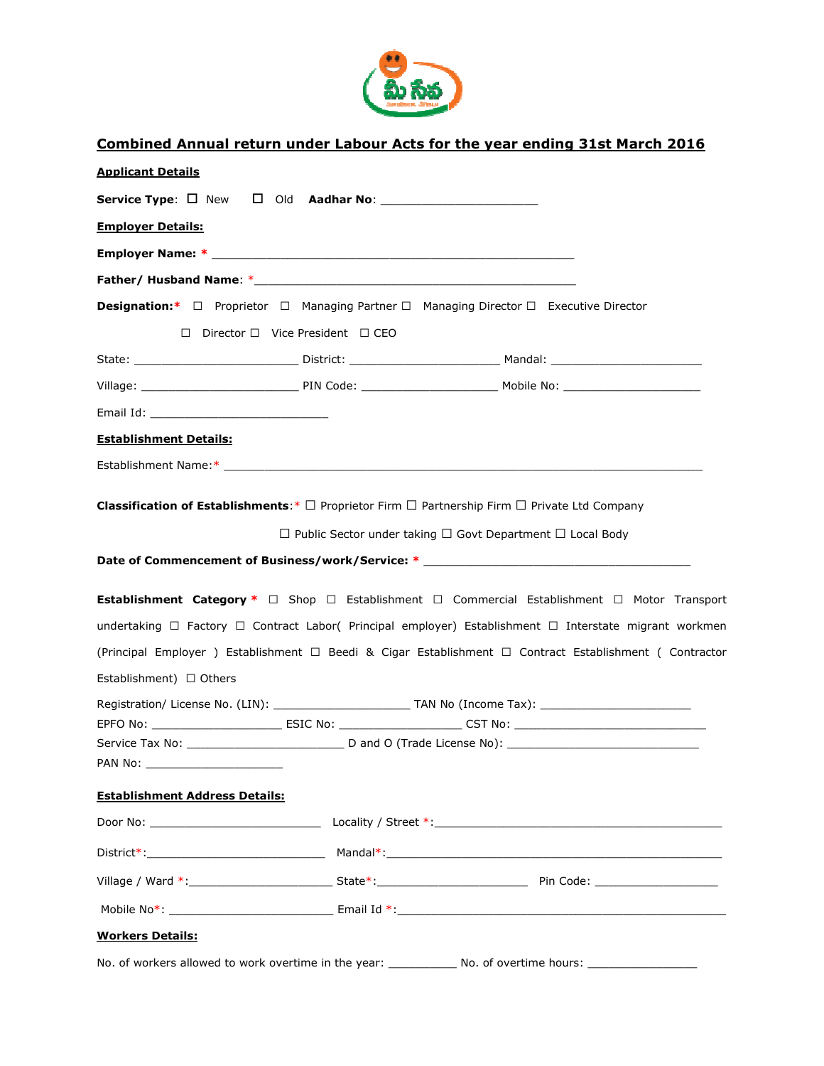

## Combined Annual return under Labour Acts for the year ending 31st March 2016

| <b>Applicant Details</b>                                                                                                                                                                                                      |                                                                                        |                                                       |                                                                                                                                                                                                                      |
|-------------------------------------------------------------------------------------------------------------------------------------------------------------------------------------------------------------------------------|----------------------------------------------------------------------------------------|-------------------------------------------------------|----------------------------------------------------------------------------------------------------------------------------------------------------------------------------------------------------------------------|
|                                                                                                                                                                                                                               |                                                                                        |                                                       |                                                                                                                                                                                                                      |
| <b>Employer Details:</b>                                                                                                                                                                                                      |                                                                                        |                                                       |                                                                                                                                                                                                                      |
|                                                                                                                                                                                                                               |                                                                                        |                                                       |                                                                                                                                                                                                                      |
|                                                                                                                                                                                                                               |                                                                                        |                                                       |                                                                                                                                                                                                                      |
|                                                                                                                                                                                                                               | <b>Designation:</b> * Proprietor Managing Partner Managing Director Executive Director |                                                       |                                                                                                                                                                                                                      |
|                                                                                                                                                                                                                               | Director Vice President CEO                                                            |                                                       |                                                                                                                                                                                                                      |
|                                                                                                                                                                                                                               |                                                                                        |                                                       |                                                                                                                                                                                                                      |
|                                                                                                                                                                                                                               |                                                                                        |                                                       |                                                                                                                                                                                                                      |
| Email Id: The Contract of the Contract of the Contract of the Contract of the Contract of the Contract of the Contract of the Contract of the Contract of the Contract of the Contract of the Contract of the Contract of the |                                                                                        |                                                       |                                                                                                                                                                                                                      |
| <b>Establishment Details:</b>                                                                                                                                                                                                 |                                                                                        |                                                       |                                                                                                                                                                                                                      |
|                                                                                                                                                                                                                               |                                                                                        |                                                       |                                                                                                                                                                                                                      |
| undertaking                                                                                                                                                                                                                   | <b>Establishment Category *</b> Shop Establishment                                     | Public Sector under taking Govt Department Local Body | Date of Commencement of Business/work/Service: * _______________________________<br>Commercial Establishment Motor Transport<br>Factory Contract Labor( Principal employer) Establishment Interstate migrant workmen |
|                                                                                                                                                                                                                               |                                                                                        |                                                       | (Principal Employer ) Establishment Beedi & Cigar Establishment Contract Establishment ( Contractor                                                                                                                  |
| Establishment) Others                                                                                                                                                                                                         |                                                                                        |                                                       |                                                                                                                                                                                                                      |
|                                                                                                                                                                                                                               |                                                                                        |                                                       |                                                                                                                                                                                                                      |
|                                                                                                                                                                                                                               |                                                                                        |                                                       |                                                                                                                                                                                                                      |
|                                                                                                                                                                                                                               |                                                                                        |                                                       |                                                                                                                                                                                                                      |
| <b>Establishment Address Details:</b>                                                                                                                                                                                         |                                                                                        |                                                       |                                                                                                                                                                                                                      |
|                                                                                                                                                                                                                               |                                                                                        |                                                       |                                                                                                                                                                                                                      |
|                                                                                                                                                                                                                               |                                                                                        |                                                       |                                                                                                                                                                                                                      |
|                                                                                                                                                                                                                               |                                                                                        |                                                       |                                                                                                                                                                                                                      |
|                                                                                                                                                                                                                               |                                                                                        |                                                       |                                                                                                                                                                                                                      |
| <b>Workers Details:</b>                                                                                                                                                                                                       |                                                                                        |                                                       |                                                                                                                                                                                                                      |
|                                                                                                                                                                                                                               |                                                                                        |                                                       | No. of workers allowed to work overtime in the year: ______________ No. of overtime hours: __________________                                                                                                        |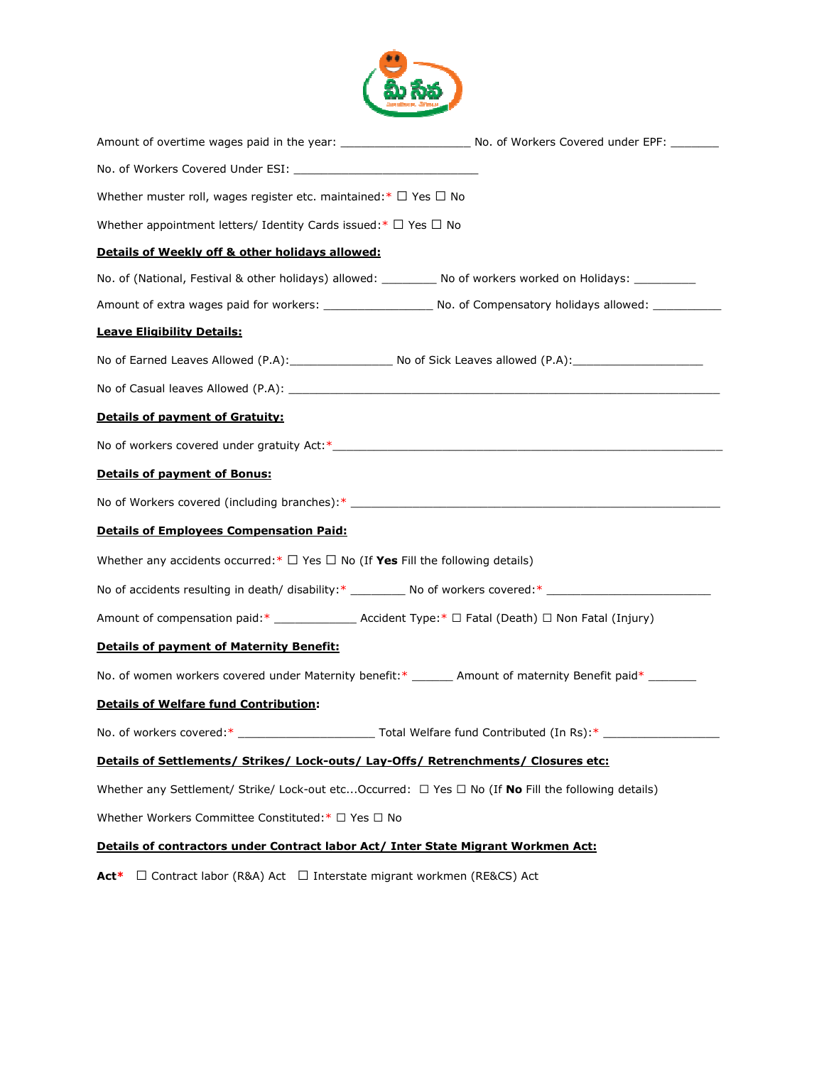

| Whether muster roll, wages register etc. maintained:* Yes<br>No                                                |                                              |
|----------------------------------------------------------------------------------------------------------------|----------------------------------------------|
| Whether appointment letters/ Identity Cards issued:*<br>Yes<br>No                                              |                                              |
| Details of Weekly off & other holidays allowed:                                                                |                                              |
| No. of (National, Festival & other holidays) allowed: _________ No of workers worked on Holidays: _________    |                                              |
|                                                                                                                |                                              |
| <b>Leave Eligibility Details:</b>                                                                              |                                              |
| No of Earned Leaves Allowed (P.A): No of Sick Leaves allowed (P.A): No of Earned Leaves Allowed (P.A)          |                                              |
|                                                                                                                |                                              |
| <b>Details of payment of Gratuity:</b>                                                                         |                                              |
|                                                                                                                |                                              |
| <b>Details of payment of Bonus:</b>                                                                            |                                              |
| No of Workers covered (including branches):* ___________________________________                               |                                              |
| <b>Details of Employees Compensation Paid:</b>                                                                 |                                              |
| Whether any accidents occurred: $*$ Yes No (If Yes Fill the following details)                                 |                                              |
| No of accidents resulting in death/ disability:* __________ No of workers covered:* __________________________ |                                              |
|                                                                                                                |                                              |
| <b>Details of payment of Maternity Benefit:</b>                                                                |                                              |
| No. of women workers covered under Maternity benefit:* _______ Amount of maternity Benefit paid* _______       |                                              |
| <b>Details of Welfare fund Contribution:</b>                                                                   |                                              |
|                                                                                                                |                                              |
| Details of Settlements/ Strikes/ Lock-outs/ Lay-Offs/ Retrenchments/ Closures etc:                             |                                              |
| Whether any Settlement/ Strike/ Lock-out etcOccurred:<br>Yes                                                   | No (If <b>No</b> Fill the following details) |
| Whether Workers Committee Constituted:*<br>Yes<br>No                                                           |                                              |
| Details of contractors under Contract labor Act/ Inter State Migrant Workmen Act:                              |                                              |
| Contract labor (R&A) Act<br>Interstate migrant workmen (RE&CS) Act<br>Act*                                     |                                              |